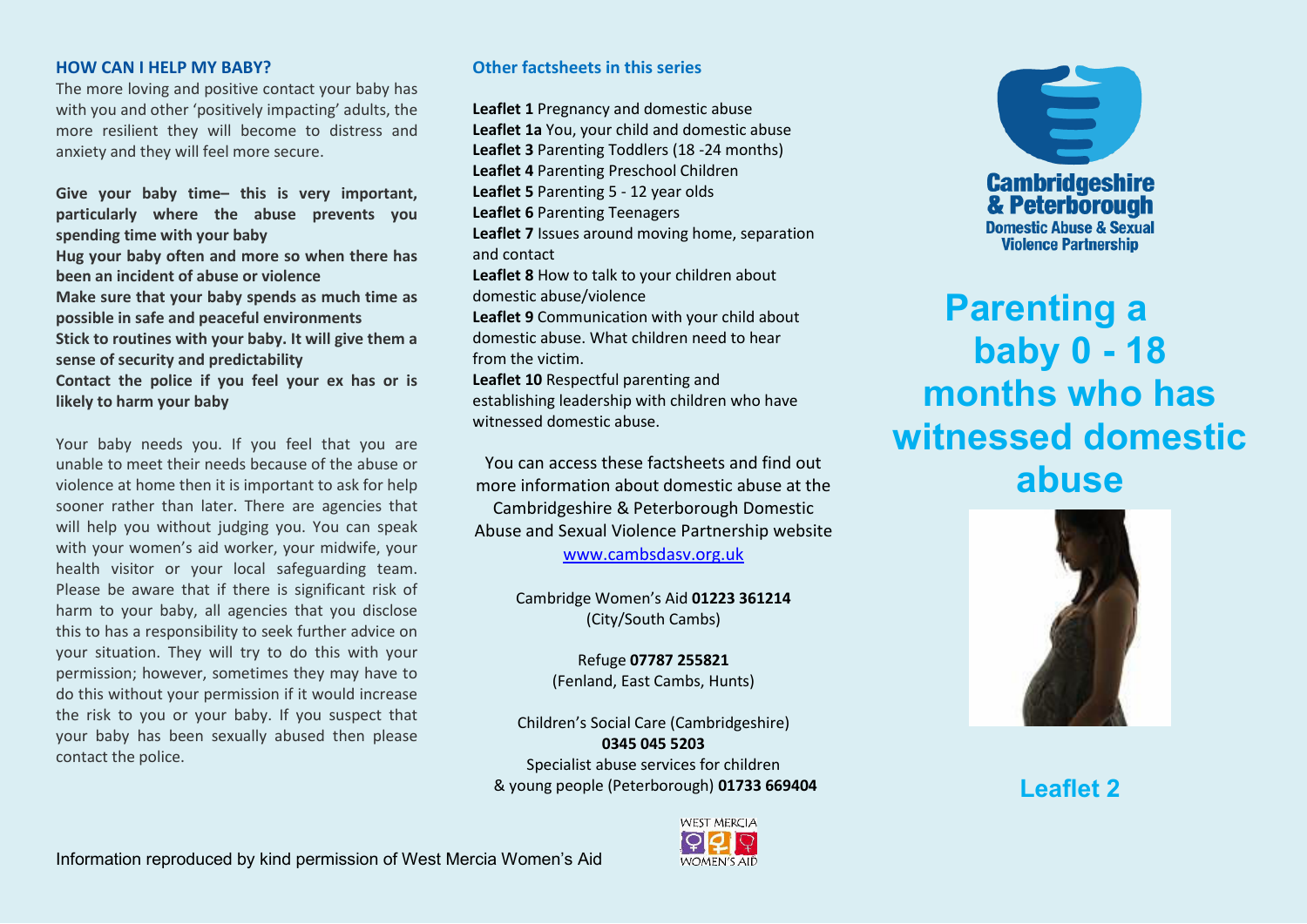## **HOW CAN I HELP MY BABY?**

The more loving and positive contact your baby has with you and other 'positively impacting' adults, the more resilient they will become to distress and anxiety and they will feel more secure.

**Give your baby time– this is very important, particularly where the abuse prevents you spending time with your baby Hug your baby often and more so when there has been an incident of abuse or violence Make sure that your baby spends as much time as possible in safe and peaceful environments Stick to routines with your baby. It will give them a sense of security and predictability Contact the police if you feel your ex has or is likely to harm your baby**

Your baby needs you. If you feel that you are unable to meet their needs because of the abuse or violence at home then it is important to ask for help sooner rather than later. There are agencies that will help you without judging you. You can speak with your women's aid worker, your midwife, your health visitor or your local safeguarding team. Please be aware that if there is significant risk of harm to your baby, all agencies that you disclose this to has a responsibility to seek further advice on your situation. They will try to do this with your permission; however, sometimes they may have to do this without your permission if it would increase the risk to you or your baby. If you suspect that your baby has been sexually abused then please contact the police.

## **Other factsheets in this series**

**Leaflet 1** Pregnancy and domestic abuse **Leaflet 1a** You, your child and domestic abuse **Leaflet 3** Parenting Toddlers (18 -24 months) **Leaflet 4** Parenting Preschool Children **Leaflet 5** Parenting 5 - 12 year olds **Leaflet 6** Parenting Teenagers **Leaflet 7** Issues around moving home, separation and contact **Leaflet 8** How to talk to your children about domestic abuse/violence **Leaflet 9** Communication with your child about domestic abuse. What children need to hear from the victim. **Leaflet 10** Respectful parenting and establishing leadership with children who have witnessed domestic abuse.

You can access these factsheets and find out more information about domestic abuse at the Cambridgeshire & Peterborough Domestic Abuse and Sexual Violence Partnership website [www.cambsdasv.org.uk](http://www.cambsdasv.org.uk/) 

> Cambridge Women's Aid 01223 361214 (City/South Cambs)

> > Refuge **07787 255821**  (Fenland, East Cambs, Hunts)

Children's Social Care (Cambridgeshire) **0345 045 5203**  Specialist abuse services for children & young people (Peterborough) **01733 669404** 





**Parenting a baby 0 - 18 months who has witnessed domestic abuse**



**Leaflet 2**